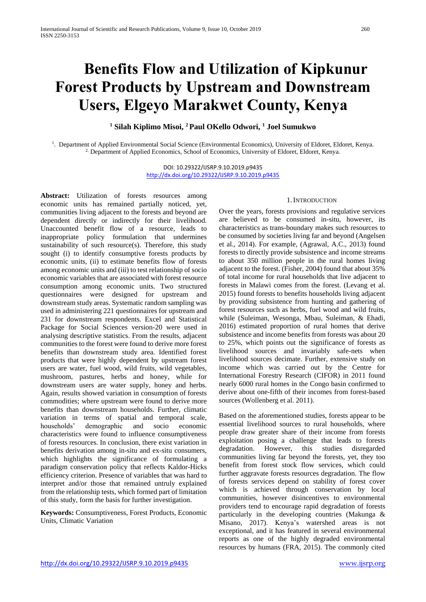# **Benefits Flow and Utilization of Kipkunur Forest Products by Upstream and Downstream Users, Elgeyo Marakwet County, Kenya**

# **<sup>1</sup> Silah Kiplimo Misoi, <sup>2</sup>Paul OKello Odwori, <sup>1</sup> Joel Sumukwo**

<sup>1</sup>. Department of Applied Environmental Social Science (Environmental Economics), University of Eldoret, Eldoret, Kenya. <sup>2.</sup> Department of Applied Economics, School of Economics, University of Eldoret, Eldoret, Kenya.

> DOI: 10.29322/IJSRP.9.10.2019.p9435 <http://dx.doi.org/10.29322/IJSRP.9.10.2019.p9435>

Abstract: Utilization of forests resources among economic units has remained partially noticed, yet, communities living adjacent to the forests and beyond are dependent directly or indirectly for their livelihood. Unaccounted benefit flow of a resource, leads to inappropriate policy formulation that undermines sustainability of such resource(s). Therefore, this study sought (i) to identify consumptive forests products by economic units, (ii) to estimate benefits flow of forests among economic units and (iii) to test relationship of socio economic variables that are associated with forest resource consumption among economic units. Two structured questionnaires were designed for upstream and downstream study areas. Systematic random sampling was used in administering 221 questionnaires for upstream and 231 for downstream respondents. Excel and Statistical Package for Social Sciences version-20 were used in analysing descriptive statistics. From the results, adjacent communities to the forest were found to derive more forest benefits than downstream study area. Identified forest products that were highly dependent by upstream forest users are water, fuel wood, wild fruits, wild vegetables, mushroom, pastures, herbs and honey, while for downstream users are water supply, honey and herbs. Again, results showed variation in consumption of forests commodities; where upstream were found to derive more benefits than downstream households. Further, climatic variation in terms of spatial and temporal scale, households' demographic and socio economic characteristics were found to influence consumptiveness of forests resources. In conclusion, there exist variation in benefits derivation among in-situ and ex-situ consumers, which highlights the significance of formulating a paradigm conservation policy that reflects Kaldor-Hicks efficiency criterion. Presence of variables that was hard to interpret and/or those that remained untruly explained from the relationship tests, which formed part of limitation of this study, form the basis for further investigation.

**Keywords:** Consumptiveness, Forest Products, Economic Units, Climatic Variation

# 1.INTRODUCTION

Over the years, forests provisions and regulative services are believed to be consumed in-situ, however, its characteristics as trans-boundary makes such resources to be consumed by societies living far and beyond (Angelsen et al., 2014). For example, (Agrawal, A.C., 2013) found forests to directly provide subsistence and income streams to about 350 million people in the rural homes living adjacent to the forest. (Fisher, 2004) found that about 35% of total income for rural households that live adjacent to forests in Malawi comes from the forest. (Levang et al. 2015) found forests to benefits households living adjacent by providing subsistence from hunting and gathering of forest resources such as herbs, fuel wood and wild fruits, while (Suleiman, Wesonga, Mbau, Suleiman, & Ehadi, 2016) estimated proportion of rural homes that derive subsistence and income benefits from forests was about 20 to 25%, which points out the significance of forests as livelihood sources and invariably safe-nets when livelihood sources decimate. Further, extensive study on income which was carried out by the Centre for International Forestry Research (CIFOR) in 2011 found nearly 6000 rural homes in the Congo basin confirmed to derive about one-fifth of their incomes from forest-based sources (Wollenberg et al. 2011).

Based on the aforementioned studies, forests appear to be essential livelihood sources to rural households, where people draw greater share of their income from forests exploitation posing a challenge that leads to forests degradation. However, this studies disregarded communities living far beyond the forests, yet, they too benefit from forest stock flow services, which could further aggravate forests resources degradation. The flow of forests services depend on stability of forest cover which is achieved through conservation by local communities, however disincentives to environmental providers tend to encourage rapid degradation of forests particularly in the developing countries (Makunga & Misano, 2017). Kenya's watershed areas is not exceptional, and it has featured in several environmental reports as one of the highly degraded environmental resources by humans (FRA, 2015). The commonly cited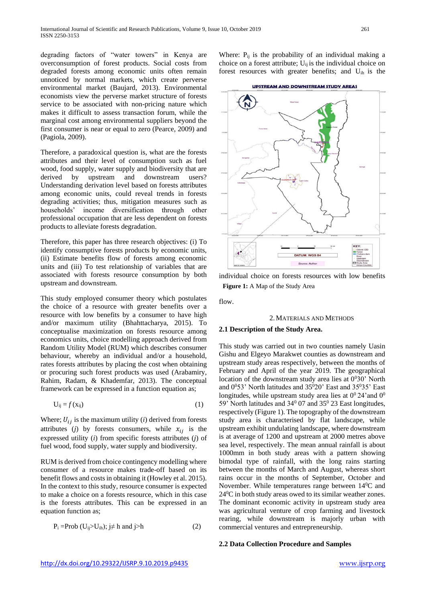degrading factors of "water towers" in Kenya are overconsumption of forest products. Social costs from degraded forests among economic units often remain unnoticed by normal markets, which create perverse environmental market (Baujard, 2013). Environmental economists view the perverse market structure of forests service to be associated with non-pricing nature which makes it difficult to assess transaction forum, while the marginal cost among environmental suppliers beyond the first consumer is near or equal to zero (Pearce, 2009) and (Pagiola, 2009).

Therefore, a paradoxical question is, what are the forests attributes and their level of consumption such as fuel wood, food supply, water supply and biodiversity that are derived by upstream and downstream users? Understanding derivation level based on forests attributes among economic units, could reveal trends in forests degrading activities; thus, mitigation measures such as households' income diversification through other professional occupation that are less dependent on forests products to alleviate forests degradation.

Therefore, this paper has three research objectives: (i) To identify consumptive forests products by economic units, (ii) Estimate benefits flow of forests among economic units and (iii) To test relationship of variables that are associated with forests resource consumption by both upstream and downstream.

This study employed consumer theory which postulates the choice of a resource with greater benefits over a resource with low benefits by a consumer to have high and/or maximum utility (Bhahttacharya, 2015). To conceptualise maximization on forests resource among economics units, choice modelling approach derived from Random Utility Model (RUM) which describes consumer behaviour, whereby an individual and/or a household, rates forests attributes by placing the cost when obtaining or procuring such forest products was used (Arabamiry, Rahim, Radam, & Khademfar, 2013). The conceptual framework can be expressed in a function equation as;

$$
U_{ij} = f(x_{ij})
$$
 (1)

Where;  $U_{ij}$  is the maximum utility (*i*) derived from forests attributes (*j*) by forests consumers, while  $x_{ij}$  is the expressed utility (*i*) from specific forests attributes (*j*) of fuel wood, food supply, water supply and biodiversity.

RUM is derived from choice contingency modelling where consumer of a resource makes trade-off based on its benefit flows and costs in obtaining it (Howley et al. 2015). In the context to this study, resource consumer is expected to make a choice on a forests resource, which in this case is the forests attributes. This can be expressed in an equation function as;

$$
P_i = Prob(U_{ij} > U_{ih}); j \neq h \text{ and } j > h
$$
 (2)

Where:  $P_{ij}$  is the probability of an individual making a choice on a forest attribute;  $U_{ij}$  is the individual choice on forest resources with greater benefits; and  $U_{ih}$  is the





individual choice on forests resources with low benefits **Figure 1:** A Map of the Study Area

flow.

#### 2.MATERIALS AND METHODS

### **2.1 Description of the Study Area.**

This study was carried out in two counties namely Uasin Gishu and Elgeyo Marakwet counties as downstream and upstream study areas respectively, between the months of February and April of the year 2019. The geographical location of the downstream study area lies at  $0^030'$  North and 0<sup>0</sup>53' North latitudes and 35<sup>0</sup>20' East and 35<sup>0</sup>35' East longitudes, while upstream study area lies at  $0^0$  24' and  $0^0$ 59' North latitudes and 34<sup>0</sup> 07 and 35<sup>0</sup> 23 East longitudes, respectively (Figure 1). The topography of the downstream study area is characterised by flat landscape, while upstream exhibit undulating landscape, where downstream is at average of 1200 and upstream at 2000 metres above sea level, respectively. The mean annual rainfall is about 1000mm in both study areas with a pattern showing bimodal type of rainfall, with the long rains starting between the months of March and August, whereas short rains occur in the months of September, October and November. While temperatures range between  $14^{\circ}$ C and  $24\degree$ C in both study areas owed to its similar weather zones. The dominant economic activity in upstream study area was agricultural venture of crop farming and livestock rearing, while downstream is majorly urban with commercial ventures and entrepreneurship.

### **2.2 Data Collection Procedure and Samples**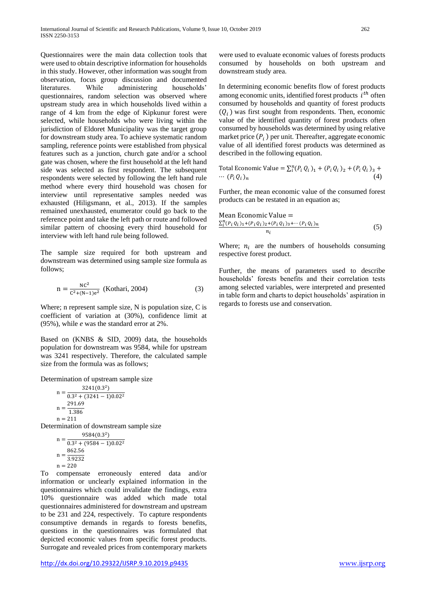Questionnaires were the main data collection tools that were used to obtain descriptive information for households in this study. However, other information was sought from observation, focus group discussion and documented literatures. While administering households' questionnaires, random selection was observed where upstream study area in which households lived within a range of 4 km from the edge of Kipkunur forest were selected, while households who were living within the jurisdiction of Eldoret Municipality was the target group for downstream study area. To achieve systematic random sampling, reference points were established from physical features such as a junction, church gate and/or a school gate was chosen, where the first household at the left hand side was selected as first respondent. The subsequent respondents were selected by following the left hand rule method where every third household was chosen for interview until representative samples needed was exhausted (Hiligsmann, et al., 2013). If the samples remained unexhausted, enumerator could go back to the reference point and take the left path or route and followed similar pattern of choosing every third household for interview with left hand rule being followed.

The sample size required for both upstream and downstream was determined using sample size formula as follows;

$$
n = \frac{NC^2}{C^2 + (N-1)e^2}
$$
 (Kothari, 2004) (3)

Where; n represent sample size, N is population size, C is coefficient of variation at (30%), confidence limit at (95%), while *e* was the standard error at 2%.

Based on (KNBS & SID, 2009) data, the households population for downstream was 9584, while for upstream was 3241 respectively. Therefore, the calculated sample size from the formula was as follows;

Determination of upstream sample size

| 3241(0.3 <sup>2</sup> )                                         |
|-----------------------------------------------------------------|
| $n = \frac{0.3^2 + (3241 - 1)0.02^2}{0.3^2 + (3241 - 1)0.02^2}$ |
| 291.69                                                          |
| $n = \frac{1.386}{1.386}$                                       |
| $n = 211$                                                       |
| Determination of downstream sample size                         |
| 9584(0.3 <sup>2</sup> )                                         |
| $n = \frac{0.3^2 + (9584 - 1)0.02^2}{0.3^2 + (9584 - 1)0.02^2}$ |

$$
n = \frac{862.56}{3.9232}
$$
  
n = 220

To compensate erroneously entered data and/or information or unclearly explained information in the questionnaires which could invalidate the findings, extra 10% questionnaire was added which made total questionnaires administered for downstream and upstream to be 231 and 224, respectively. To capture respondents consumptive demands in regards to forests benefits, questions in the questionnaires was formulated that depicted economic values from specific forest products. Surrogate and revealed prices from contemporary markets

<http://dx.doi.org/10.29322/IJSRP.9.10.2019.p9435>[www.ijsrp.org](http://ijsrp.org/)

were used to evaluate economic values of forests products consumed by households on both upstream and downstream study area.

In determining economic benefits flow of forest products among economic units, identified forest products  $i<sup>th</sup>$  often consumed by households and quantity of forest products  $(Q<sub>i</sub>)$  was first sought from respondents. Then, economic value of the identified quantity of forest products often consumed by households was determined by using relative market price  $(P_i)$  per unit. Thereafter, aggregate economic value of all identified forest products was determined as described in the following equation.

Total Economic Value = 
$$
\sum_{i}^{n} (P_i Q_i)_1 + (P_i Q_i)_2 + (P_i Q_i)_3 + \cdots (P_i Q_i)_n
$$
 (4)

Further, the mean economic value of the consumed forest products can be restated in an equation as;

Mean Economic Value =  
\n
$$
\frac{\sum_{i}^{n} (P_i Q_i)_1 + (P_i Q_i)_2 + (P_i Q_i)_3 + \cdots (P_i Q_i)_n}{n_i}
$$
\n(5)

Where;  $n_i$  are the numbers of households consuming respective forest product.

Further, the means of parameters used to describe households' forests benefits and their correlation tests among selected variables, were interpreted and presented in table form and charts to depict households' aspiration in regards to forests use and conservation.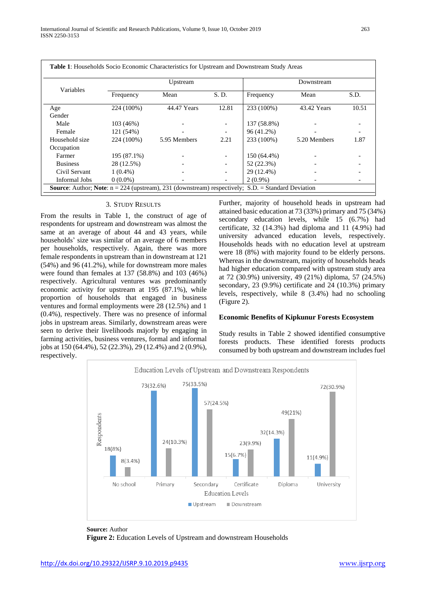| Variables       |             | Upstream     | Downstream               |             |              |       |
|-----------------|-------------|--------------|--------------------------|-------------|--------------|-------|
|                 | Frequency   | Mean         | S. D.                    | Frequency   | Mean         | S.D.  |
| Age             | 224 (100%)  | 44.47 Years  | 12.81                    | 233 (100%)  | 43.42 Years  | 10.51 |
| Gender          |             |              |                          |             |              |       |
| Male            | 103(46%)    |              |                          | 137 (58.8%) |              |       |
| Female          | 121 (54%)   |              |                          | 96 (41.2%)  |              |       |
| Household size  | 224 (100%)  | 5.95 Members | 2.21                     | 233 (100%)  | 5.20 Members | 1.87  |
| Occupation      |             |              |                          |             |              |       |
| Farmer          | 195 (87.1%) |              |                          | 150 (64.4%) |              |       |
| <b>Business</b> | 28 (12.5%)  |              | $\overline{\phantom{a}}$ | 52 (22.3%)  |              |       |
| Civil Servant   | $1(0.4\%)$  |              |                          | 29 (12.4%)  |              |       |
| Informal Jobs   | $0(0.0\%)$  |              |                          | $2(0.9\%)$  |              |       |

#### 3. STUDY RESULTS

From the results in Table 1, the construct of age of respondents for upstream and downstream was almost the same at an average of about 44 and 43 years, while households' size was similar of an average of 6 members per households, respectively. Again, there was more female respondents in upstream than in downstream at 121 (54%) and 96 (41.2%), while for downstream more males were found than females at 137 (58.8%) and 103 (46%) respectively. Agricultural ventures was predominantly economic activity for upstream at 195 (87.1%), while proportion of households that engaged in business ventures and formal employments were 28 (12.5%) and 1 (0.4%), respectively. There was no presence of informal jobs in upstream areas. Similarly, downstream areas were seen to derive their livelihoods majorly by engaging in farming activities, business ventures, formal and informal jobs at 150 (64.4%), 52 (22.3%), 29 (12.4%) and 2 (0.9%), respectively.

Further, majority of household heads in upstream had attained basic education at 73 (33%) primary and 75 (34%) secondary education levels, while 15 (6.7%) had certificate, 32 (14.3%) had diploma and 11 (4.9%) had university advanced education levels, respectively. Households heads with no education level at upstream were 18 (8%) with majority found to be elderly persons. Whereas in the downstream, majority of households heads had higher education compared with upstream study area at 72 (30.9%) university, 49 (21%) diploma, 57 (24.5%) secondary, 23 (9.9%) certificate and 24 (10.3%) primary levels, respectively, while 8 (3.4%) had no schooling (Figure 2).

## **Economic Benefits of Kipkunur Forests Ecosystem**

Study results in Table 2 showed identified consumptive forests products. These identified forests products consumed by both upstream and downstream includes fuel



**Source:** Author **Figure 2:** Education Levels of Upstream and downstream Households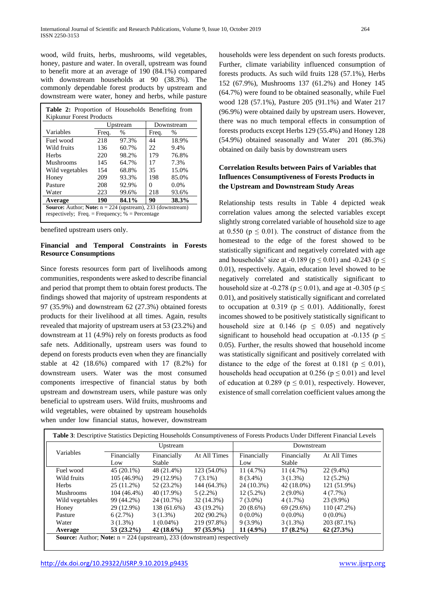wood, wild fruits, herbs, mushrooms, wild vegetables, honey, pasture and water. In overall, upstream was found to benefit more at an average of 190 (84.1%) compared with downstream households at 90 (38.3%). The commonly dependable forest products by upstream and downstream were water, honey and herbs, while pasture

| <b>Table 2:</b> Proportion of Households Benefiting from<br>Kipkunur Forest Products                                            |       |               |       |            |  |  |  |
|---------------------------------------------------------------------------------------------------------------------------------|-------|---------------|-------|------------|--|--|--|
|                                                                                                                                 |       | Upstream      |       | Downstream |  |  |  |
| Variables                                                                                                                       | Freq. | $\frac{0}{0}$ | Freq. | $\%$       |  |  |  |
| Fuel wood                                                                                                                       | 218   | 97.3%         | 44    | 18.9%      |  |  |  |
| Wild fruits                                                                                                                     | 136   | 60.7%         | 22.   | 9.4%       |  |  |  |
| <b>Herbs</b>                                                                                                                    | 220   | 98.2%         | 179   | 76.8%      |  |  |  |
| <b>Mushrooms</b>                                                                                                                | 145   | 64.7%         | 17    | 7.3%       |  |  |  |
| Wild vegetables                                                                                                                 | 154   | 68.8%         | 35    | 15.0%      |  |  |  |
| Honey                                                                                                                           | 209   | 93.3%         | 198   | 85.0%      |  |  |  |
| Pasture                                                                                                                         | 208   | 92.9%         | 0     | $0.0\%$    |  |  |  |
| Water                                                                                                                           | 223   | 99.6%         | 218   | 93.6%      |  |  |  |
| Average                                                                                                                         | 190   | 84.1%         | 90    | 38.3%      |  |  |  |
| <b>Source:</b> Author; <b>Note:</b> $n = 224$ (upstream), 233 (downstream)<br>respectively; Freq. = Frequency; $%$ = Percentage |       |               |       |            |  |  |  |

benefited upstream users only.

## **Financial and Temporal Constraints in Forests Resource Consumptions**

Since forests resources form part of livelihoods among communities, respondents were asked to describe financial and period that prompt them to obtain forest products. The findings showed that majority of upstream respondents at 97 (35.9%) and downstream 62 (27.3%) obtained forests products for their livelihood at all times. Again, results revealed that majority of upstream users at 53 (23.2%) and downstream at 11 (4.9%) rely on forests products as food safe nets. Additionally, upstream users was found to depend on forests products even when they are financially stable at 42 (18.6%) compared with 17 (8.2%) for downstream users. Water was the most consumed components irrespective of financial status by both upstream and downstream users, while pasture was only beneficial to upstream users. Wild fruits, mushrooms and wild vegetables, were obtained by upstream households when under low financial status, however, downstream

households were less dependent on such forests products. Further, climate variability influenced consumption of forests products. As such wild fruits 128 (57.1%), Herbs 152 (67.9%), Mushrooms 137 (61.2%) and Honey 145 (64.7%) were found to be obtained seasonally, while Fuel wood 128 (57.1%), Pasture 205 (91.1%) and Water 217 (96.9%) were obtained daily by upstream users. However, there was no much temporal effects in consumption of forests products except Herbs 129 (55.4%) and Honey 128 (54.9%) obtained seasonally and Water 201 (86.3%) obtained on daily basis by downstream users

## **Correlation Results between Pairs of Variables that Influences Consumptiveness of Forests Products in the Upstream and Downstream Study Areas**

Relationship tests results in Table 4 depicted weak correlation values among the selected variables except slightly strong correlated variable of household size to age at 0.550 ( $p \le 0.01$ ). The construct of distance from the homestead to the edge of the forest showed to be statistically significant and negatively correlated with age and households' size at -0.189 ( $p \le 0.01$ ) and -0.243 ( $p \le$ 0.01), respectively. Again, education level showed to be negatively correlated and statistically significant to household size at -0.278 ( $p \le 0.01$ ), and age at -0.305 ( $p \le$ 0.01), and positively statistically significant and correlated to occupation at 0.319 ( $p \le 0.01$ ). Additionally, forest incomes showed to be positively statistically significant to household size at 0.146 ( $p \leq 0.05$ ) and negatively significant to household head occupation at -0.135 ( $p \leq$ 0.05). Further, the results showed that household income was statistically significant and positively correlated with distance to the edge of the forest at 0.181 ( $p \le 0.01$ ), households head occupation at 0.256 ( $p \le 0.01$ ) and level of education at 0.289 ( $p \le 0.01$ ), respectively. However, existence of small correlation coefficient values among the

|                  |                    | Upstream              |              | Downstream         |                       |              |  |
|------------------|--------------------|-----------------------|--------------|--------------------|-----------------------|--------------|--|
| Variables        | Financially<br>Low | Financially<br>Stable | At All Times | Financially<br>Low | Financially<br>Stable | At All Times |  |
| Fuel wood        | $45(20.1\%)$       | 48 (21.4%)            | 123 (54.0%)  | $11(4.7\%)$        | $11(4.7\%)$           | $22(9.4\%)$  |  |
| Wild fruits      | 105 (46.9%)        | 29 (12.9%)            | $7(3.1\%)$   | 8 (3.4%)           | $3(1.3\%)$            | $12(5.2\%)$  |  |
| <b>Herbs</b>     | $25(11.2\%)$       | 52 (23.2%)            | 144 (64.3%)  | 24 (10.3%)         | 42 (18.0%)            | 121 (51.9%)  |  |
| <b>Mushrooms</b> | $104(46.4\%)$      | 40 (17.9%)            | $5(2.2\%)$   | $12(5.2\%)$        | $2(9.0\%)$            | 4 (7.7%)     |  |
| Wild vegetables  | 99 (44.2%)         | 24 (10.7%)            | 32 (14.3%)   | $7(3.0\%)$         | 4(1.7%)               | 23 (9.9%)    |  |
| Honey            | 29 (12.9%)         | 138 (61.6%)           | 43 (19.2%)   | $20(8.6\%)$        | 69(29.6%)             | 110 (47.2%)  |  |
| Pasture          | 6(2.7%)            | $3(1.3\%)$            | 202 (90.2%)  | $0(0.0\%)$         | $0(0.0\%)$            | $0(0.0\%)$   |  |
| Water            | $3(1.3\%)$         | $1(0.04\%)$           | 219 (97.8%)  | $9(3.9\%)$         | $3(1.3\%)$            | 203 (87.1%)  |  |
| Average          | $53(23.2\%)$       | $42(18.6\%)$          | $97(35.9\%)$ | $11(4.9\%)$        | $17(8.2\%)$           | 62(27.3%)    |  |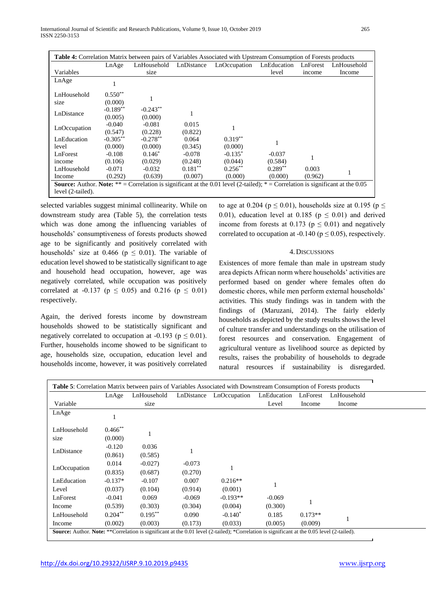| <b>Table 4:</b> Correlation Matrix between pairs of Variables Associated with Upstream Consumption of Forests products                                     |             |             |            |              |             |          |             |  |
|------------------------------------------------------------------------------------------------------------------------------------------------------------|-------------|-------------|------------|--------------|-------------|----------|-------------|--|
|                                                                                                                                                            | LnAge       | LnHousehold | LnDistance | LnOccupation | LnEducation | LnForest | LnHousehold |  |
| Variables                                                                                                                                                  |             | size        |            |              | level       | income   | Income      |  |
| LnAge                                                                                                                                                      |             |             |            |              |             |          |             |  |
| LnHousehold                                                                                                                                                | $0.550**$   |             |            |              |             |          |             |  |
| size                                                                                                                                                       | (0.000)     |             |            |              |             |          |             |  |
|                                                                                                                                                            | $-0.189**$  | $-0.243**$  | 1          |              |             |          |             |  |
| LnDistance                                                                                                                                                 | (0.005)     | (0.000)     |            |              |             |          |             |  |
| LnOccupation                                                                                                                                               | $-0.040$    | $-0.081$    | 0.015      |              |             |          |             |  |
|                                                                                                                                                            | (0.547)     | (0.228)     | (0.822)    | 1.           |             |          |             |  |
| LnEducation                                                                                                                                                | $-0.305***$ | $-0.278**$  | 0.064      | $0.319**$    |             |          |             |  |
| level                                                                                                                                                      | (0.000)     | (0.000)     | (0.345)    | (0.000)      |             |          |             |  |
| LnForest                                                                                                                                                   | $-0.108$    | $0.146*$    | $-0.078$   | $-0.135^*$   | $-0.037$    |          |             |  |
| income                                                                                                                                                     | (0.106)     | (0.029)     | (0.248)    | (0.044)      | (0.584)     |          |             |  |
| LnHousehold                                                                                                                                                | $-0.071$    | $-0.032$    | $0.181**$  | $0.256$ **   | $0.289**$   | 0.003    |             |  |
| Income                                                                                                                                                     | (0.292)     | (0.639)     | (0.007)    | (0.000)      | (0.000)     | (0.962)  |             |  |
| <b>Source:</b> Author. Note: ** = Correlation is significant at the 0.01 level (2-tailed); * = Correlation is significant at the 0.05<br>level (2-tailed). |             |             |            |              |             |          |             |  |

selected variables suggest minimal collinearity. While on downstream study area (Table 5), the correlation tests which was done among the influencing variables of households' consumptiveness of forests products showed age to be significantly and positively correlated with households' size at 0.466 ( $p \leq 0.01$ ). The variable of education level showed to be statistically significant to age and household head occupation, however, age was negatively correlated, while occupation was positively correlated at -0.137 ( $p \le 0.05$ ) and 0.216 ( $p \le 0.01$ ) respectively.

Again, the derived forests income by downstream households showed to be statistically significant and negatively correlated to occupation at -0.193 ( $p \le 0.01$ ). Further, households income showed to be significant to age, households size, occupation, education level and households income, however, it was positively correlated

to age at 0.204 ( $p \le 0.01$ ), households size at 0.195 ( $p \le$ 0.01), education level at 0.185 ( $p \le 0.01$ ) and derived income from forests at 0.173 ( $p \le 0.01$ ) and negatively correlated to occupation at -0.140 ( $p \le 0.05$ ), respectively.

#### 4. DISCUSSIONS

Existences of more female than male in upstream study area depicts African norm where households' activities are performed based on gender where females often do domestic chores, while men perform external households' activities. This study findings was in tandem with the findings of (Maruzani, 2014). The fairly elderly households as depicted by the study results shows the level of culture transfer and understandings on the utilisation of forest resources and conservation. Engagement of agricultural venture as livelihood source as depicted by results, raises the probability of households to degrade natural resources if sustainability is disregarded.

| <b>Table 5:</b> Correlation Matrix between pairs of Variables Associated with Downstream Consumption of Forests products                          |            |             |            |              |             |           |             |  |
|---------------------------------------------------------------------------------------------------------------------------------------------------|------------|-------------|------------|--------------|-------------|-----------|-------------|--|
|                                                                                                                                                   | LnAge      | LnHousehold | LnDistance | LnOccupation | LnEducation | LnForest  | LnHousehold |  |
| Variable                                                                                                                                          |            | size        |            |              | Level       | Income    | Income      |  |
| LnAge                                                                                                                                             |            |             |            |              |             |           |             |  |
| LnHousehold                                                                                                                                       | $0.466$ ** |             |            |              |             |           |             |  |
| size                                                                                                                                              | (0.000)    |             |            |              |             |           |             |  |
|                                                                                                                                                   | $-0.120$   | 0.036       |            |              |             |           |             |  |
| LnDistance                                                                                                                                        | (0.861)    | (0.585)     |            |              |             |           |             |  |
|                                                                                                                                                   | 0.014      | $-0.027$    | $-0.073$   |              |             |           |             |  |
| LnOccupation                                                                                                                                      | (0.835)    | (0.687)     | (0.270)    |              |             |           |             |  |
| LnEducation                                                                                                                                       | $-0.137*$  | $-0.107$    | 0.007      | $0.216**$    |             |           |             |  |
| Level                                                                                                                                             | (0.037)    | (0.104)     | (0.914)    | (0.001)      |             |           |             |  |
| LnForest                                                                                                                                          | $-0.041$   | 0.069       | $-0.069$   | $-0.193**$   | $-0.069$    |           |             |  |
| Income                                                                                                                                            | (0.539)    | (0.303)     | (0.304)    | (0.004)      | (0.300)     |           |             |  |
| LnHousehold                                                                                                                                       | $0.204***$ | $0.195***$  | 0.090      | $-0.140^*$   | 0.185       | $0.173**$ |             |  |
| Income                                                                                                                                            | (0.002)    | (0.003)     | (0.173)    | (0.033)      | (0.005)     | (0.009)   |             |  |
| <b>Source:</b> Author. Note: **Correlation is significant at the 0.01 level (2-tailed); *Correlation is significant at the 0.05 level (2-tailed). |            |             |            |              |             |           |             |  |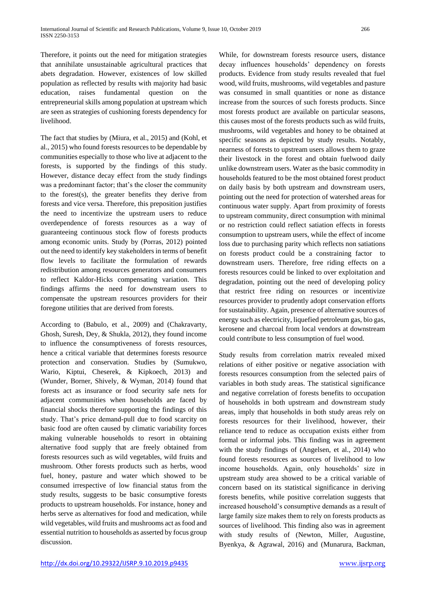Therefore, it points out the need for mitigation strategies that annihilate unsustainable agricultural practices that abets degradation. However, existences of low skilled population as reflected by results with majority had basic education, raises fundamental question on the entrepreneurial skills among population at upstream which are seen as strategies of cushioning forests dependency for livelihood.

The fact that studies by (Miura, et al., 2015) and (Kohl, et al., 2015) who found forests resources to be dependable by communities especially to those who live at adjacent to the forests, is supported by the findings of this study. However, distance decay effect from the study findings was a predominant factor; that's the closer the community to the forest(s), the greater benefits they derive from forests and vice versa. Therefore, this preposition justifies the need to incentivize the upstream users to reduce overdependence of forests resources as a way of guaranteeing continuous stock flow of forests products among economic units. Study by (Porras, 2012) pointed out the need to identify key stakeholders in terms of benefit flow levels to facilitate the formulation of rewards redistribution among resources generators and consumers to reflect Kaldor-Hicks compensating variation. This findings affirms the need for downstream users to compensate the upstream resources providers for their foregone utilities that are derived from forests.

According to (Babulo, et al., 2009) and (Chakravarty, Ghosh, Suresh, Dey, & Shukla, 2012), they found income to influence the consumptiveness of forests resources, hence a critical variable that determines forests resource protection and conservation. Studies by (Sumukwo, Wario, Kiptui, Cheserek, & Kipkoech, 2013) and (Wunder, Borner, Shively, & Wyman, 2014) found that forests act as insurance or food security safe nets for adjacent communities when households are faced by financial shocks therefore supporting the findings of this study. That's price demand-pull due to food scarcity on basic food are often caused by climatic variability forces making vulnerable households to resort in obtaining alternative food supply that are freely obtained from forests resources such as wild vegetables, wild fruits and mushroom. Other forests products such as herbs, wood fuel, honey, pasture and water which showed to be consumed irrespective of low financial status from the study results, suggests to be basic consumptive forests products to upstream households. For instance, honey and herbs serve as alternatives for food and medication, while wild vegetables, wild fruits and mushrooms act as food and essential nutrition to households as asserted by focus group discussion.

While, for downstream forests resource users, distance decay influences households' dependency on forests products. Evidence from study results revealed that fuel wood, wild fruits, mushrooms, wild vegetables and pasture was consumed in small quantities or none as distance increase from the sources of such forests products. Since most forests product are available on particular seasons, this causes most of the forests products such as wild fruits, mushrooms, wild vegetables and honey to be obtained at specific seasons as depicted by study results. Notably, nearness of forests to upstream users allows them to graze their livestock in the forest and obtain fuelwood daily unlike downstream users. Water as the basic commodity in households featured to be the most obtained forest product on daily basis by both upstream and downstream users, pointing out the need for protection of watershed areas for continuous water supply. Apart from proximity of forests to upstream community, direct consumption with minimal or no restriction could reflect satiation effects in forests consumption to upstream users, while the effect of income loss due to purchasing parity which reflects non satiations on forests product could be a constraining factor to downstream users. Therefore, free riding effects on a forests resources could be linked to over exploitation and degradation, pointing out the need of developing policy that restrict free riding on resources or incentivize resources provider to prudently adopt conservation efforts for sustainability. Again, presence of alternative sources of energy such as electricity, liquefied petroleum gas, bio gas, kerosene and charcoal from local vendors at downstream could contribute to less consumption of fuel wood.

Study results from correlation matrix revealed mixed relations of either positive or negative association with forests resources consumption from the selected pairs of variables in both study areas. The statistical significance and negative correlation of forests benefits to occupation of households in both upstream and downstream study areas, imply that households in both study areas rely on forests resources for their livelihood, however, their reliance tend to reduce as occupation exists either from formal or informal jobs. This finding was in agreement with the study findings of (Angelsen, et al., 2014) who found forests resources as sources of livelihood to low income households. Again, only households' size in upstream study area showed to be a critical variable of concern based on its statistical significance in deriving forests benefits, while positive correlation suggests that increased household's consumptive demands as a result of large family size makes them to rely on forests products as sources of livelihood. This finding also was in agreement with study results of (Newton, Miller, Augustine, Byenkya, & Agrawal, 2016) and (Munarura, Backman,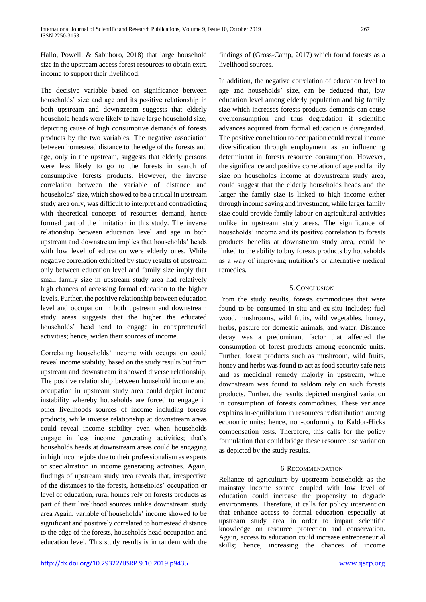Hallo, Powell, & Sabuhoro, 2018) that large household size in the upstream access forest resources to obtain extra income to support their livelihood.

The decisive variable based on significance between households' size and age and its positive relationship in both upstream and downstream suggests that elderly household heads were likely to have large household size, depicting cause of high consumptive demands of forests products by the two variables. The negative association between homestead distance to the edge of the forests and age, only in the upstream, suggests that elderly persons were less likely to go to the forests in search of consumptive forests products. However, the inverse correlation between the variable of distance and households' size, which showed to be a critical in upstream study area only, was difficult to interpret and contradicting with theoretical concepts of resources demand, hence formed part of the limitation in this study. The inverse relationship between education level and age in both upstream and downstream implies that households' heads with low level of education were elderly ones. While negative correlation exhibited by study results of upstream only between education level and family size imply that small family size in upstream study area had relatively high chances of accessing formal education to the higher levels. Further, the positive relationship between education level and occupation in both upstream and downstream study areas suggests that the higher the educated households' head tend to engage in entrepreneurial activities; hence, widen their sources of income.

Correlating households' income with occupation could reveal income stability, based on the study results but from upstream and downstream it showed diverse relationship. The positive relationship between household income and occupation in upstream study area could depict income instability whereby households are forced to engage in other livelihoods sources of income including forests products, while inverse relationship at downstream areas could reveal income stability even when households engage in less income generating activities; that's households heads at downstream areas could be engaging in high income jobs due to their professionalism as experts or specialization in income generating activities. Again, findings of upstream study area reveals that, irrespective of the distances to the forests, households' occupation or level of education, rural homes rely on forests products as part of their livelihood sources unlike downstream study area Again, variable of households' income showed to be significant and positively correlated to homestead distance to the edge of the forests, households head occupation and education level. This study results is in tandem with the findings of (Gross-Camp, 2017) which found forests as a livelihood sources.

In addition, the negative correlation of education level to age and households' size, can be deduced that, low education level among elderly population and big family size which increases forests products demands can cause overconsumption and thus degradation if scientific advances acquired from formal education is disregarded. The positive correlation to occupation could reveal income diversification through employment as an influencing determinant in forests resource consumption. However, the significance and positive correlation of age and family size on households income at downstream study area, could suggest that the elderly households heads and the larger the family size is linked to high income either through income saving and investment, while larger family size could provide family labour on agricultural activities unlike in upstream study areas. The significance of households' income and its positive correlation to forests products benefits at downstream study area, could be linked to the ability to buy forests products by households as a way of improving nutrition's or alternative medical remedies.

## 5.CONCLUSION

From the study results, forests commodities that were found to be consumed in-situ and ex-situ includes; fuel wood, mushrooms, wild fruits, wild vegetables, honey, herbs, pasture for domestic animals, and water. Distance decay was a predominant factor that affected the consumption of forest products among economic units. Further, forest products such as mushroom, wild fruits, honey and herbs was found to act as food security safe nets and as medicinal remedy majorly in upstream, while downstream was found to seldom rely on such forests products. Further, the results depicted marginal variation in consumption of forests commodities. These variance explains in-equilibrium in resources redistribution among economic units; hence, non-conformity to Kaldor-Hicks compensation tests. Therefore, this calls for the policy formulation that could bridge these resource use variation as depicted by the study results.

## 6.RECOMMENDATION

Reliance of agriculture by upstream households as the mainstay income source coupled with low level of education could increase the propensity to degrade environments. Therefore, it calls for policy intervention that enhance access to formal education especially at upstream study area in order to impart scientific knowledge on resource protection and conservation. Again, access to education could increase entrepreneurial skills; hence, increasing the chances of income